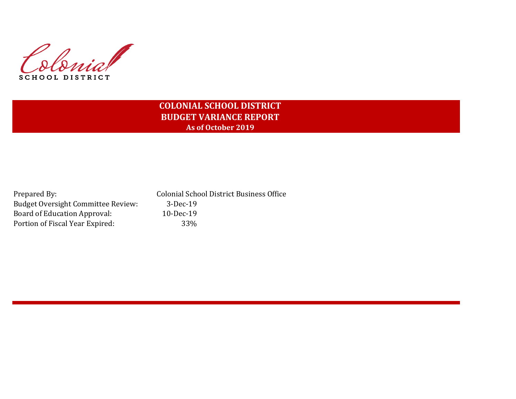

# **COLONIAL SCHOOL DISTRICT BUDGET VARIANCE REPORT As of October 2019**

| Prepared By:                              | <b>Colonial School District Business Office</b> |
|-------------------------------------------|-------------------------------------------------|
| <b>Budget Oversight Committee Review:</b> | 3-Dec-19                                        |
| Board of Education Approval:              | $10$ -Dec-19                                    |
| Portion of Fiscal Year Expired:           | 33 <sup>%</sup>                                 |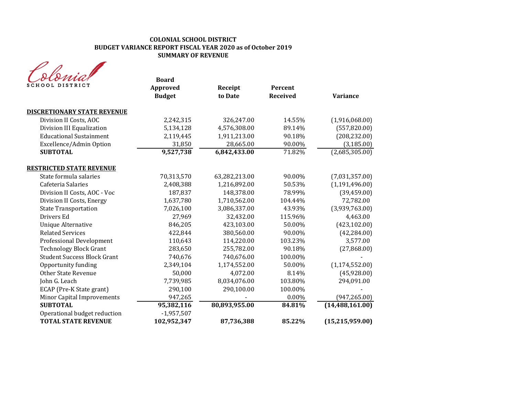| SCHOOL DISTRICT                    | <b>Board</b><br>Approved<br><b>Budget</b> | Receipt<br>to Date | Percent<br><b>Received</b> | <b>Variance</b>   |
|------------------------------------|-------------------------------------------|--------------------|----------------------------|-------------------|
| <b>DISCRETIONARY STATE REVENUE</b> |                                           |                    |                            |                   |
| Division II Costs, AOC             | 2,242,315                                 | 326,247.00         | 14.55%                     | (1,916,068.00)    |
| Division III Equalization          | 5,134,128                                 | 4,576,308.00       | 89.14%                     | (557, 820.00)     |
| <b>Educational Sustainment</b>     | 2,119,445                                 | 1,911,213.00       | 90.18%                     | (208, 232.00)     |
| Excellence/Admin Option            | 31,850                                    | 28,665.00          | 90.00%                     | (3, 185.00)       |
| <b>SUBTOTAL</b>                    | 9,527,738                                 | 6,842,433.00       | 71.82%                     | (2,685,305.00)    |
| <b>RESTRICTED STATE REVENUE</b>    |                                           |                    |                            |                   |
| State formula salaries             | 70,313,570                                | 63,282,213.00      | 90.00%                     | (7,031,357.00)    |
| Cafeteria Salaries                 | 2,408,388                                 | 1,216,892.00       | 50.53%                     | (1, 191, 496.00)  |
| Division II Costs, AOC - Voc       | 187,837                                   | 148,378.00         | 78.99%                     | (39, 459.00)      |
| Division II Costs, Energy          | 1,637,780                                 | 1,710,562.00       | 104.44%                    | 72,782.00         |
| <b>State Transportation</b>        | 7,026,100                                 | 3,086,337.00       | 43.93%                     | (3,939,763.00)    |
| Drivers Ed                         | 27,969                                    | 32,432.00          | 115.96%                    | 4,463.00          |
| <b>Unique Alternative</b>          | 846,205                                   | 423,103.00         | 50.00%                     | (423, 102.00)     |
| <b>Related Services</b>            | 422,844                                   | 380,560.00         | 90.00%                     | (42, 284.00)      |
| Professional Development           | 110,643                                   | 114,220.00         | 103.23%                    | 3,577.00          |
| <b>Technology Block Grant</b>      | 283,650                                   | 255,782.00         | 90.18%                     | (27,868.00)       |
| <b>Student Success Block Grant</b> | 740,676                                   | 740,676.00         | 100.00%                    |                   |
| Opportunity funding                | 2,349,104                                 | 1,174,552.00       | 50.00%                     | (1, 174, 552.00)  |
| <b>Other State Revenue</b>         | 50,000                                    | 4,072.00           | 8.14%                      | (45,928.00)       |
| John G. Leach                      | 7,739,985                                 | 8,034,076.00       | 103.80%                    | 294,091.00        |
| ECAP (Pre-K State grant)           | 290,100                                   | 290,100.00         | 100.00%                    |                   |
| Minor Capital Improvements         | 947,265                                   |                    | 0.00%                      | (947, 265.00)     |
| <b>SUBTOTAL</b>                    | 95,382,116                                | 80,893,955.00      | 84.81%                     | (14, 488, 161.00) |
| Operational budget reduction       | $-1,957,507$                              |                    |                            |                   |
| <b>TOTAL STATE REVENUE</b>         | 102,952,347                               | 87,736,388         | 85.22%                     | (15, 215, 959.00) |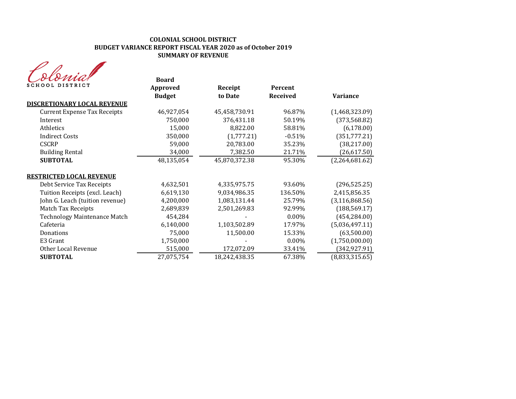| MA              |
|-----------------|
| SCHOOL DISTRICT |

| oroman<br>SCHOOL DISTRICT           | <b>Board</b><br>Approved<br><b>Budget</b> | Receipt<br>to Date | Percent<br><b>Received</b> | <b>Variance</b>  |
|-------------------------------------|-------------------------------------------|--------------------|----------------------------|------------------|
| <b>DISCRETIONARY LOCAL REVENUE</b>  |                                           |                    |                            |                  |
| <b>Current Expense Tax Receipts</b> | 46,927,054                                | 45,458,730.91      | 96.87%                     | (1,468,323.09)   |
| Interest                            | 750,000                                   | 376,431.18         | 50.19%                     | (373, 568.82)    |
| Athletics                           | 15,000                                    | 8,822.00           | 58.81%                     | (6, 178.00)      |
| <b>Indirect Costs</b>               | 350,000                                   | (1,777.21)         | $-0.51%$                   | (351, 777.21)    |
| <b>CSCRP</b>                        | 59,000                                    | 20,783.00          | 35.23%                     | (38, 217.00)     |
| <b>Building Rental</b>              | 34,000                                    | 7,382.50           | 21.71%                     | (26, 617.50)     |
| <b>SUBTOTAL</b>                     | 48,135,054                                | 45,870,372.38      | 95.30%                     | (2,264,681.62)   |
| <u>RESTRICTED LOCAL REVENUE</u>     |                                           |                    |                            |                  |
| Debt Service Tax Receipts           | 4,632,501                                 | 4,335,975.75       | 93.60%                     | (296, 525.25)    |
| Tuition Receipts (excl. Leach)      | 6,619,130                                 | 9,034,986.35       | 136.50%                    | 2,415,856.35     |
| John G. Leach (tuition revenue)     | 4,200,000                                 | 1,083,131.44       | 25.79%                     | (3, 116, 868.56) |
| <b>Match Tax Receipts</b>           | 2,689,839                                 | 2,501,269.83       | 92.99%                     | (188, 569.17)    |
| <b>Technology Maintenance Match</b> | 454,284                                   |                    | $0.00\%$                   | (454, 284.00)    |
| Cafeteria                           | 6,140,000                                 | 1,103,502.89       | 17.97%                     | (5,036,497.11)   |
| Donations                           | 75,000                                    | 11,500.00          | 15.33%                     | (63,500.00)      |
| E3 Grant                            | 1,750,000                                 |                    | $0.00\%$                   | (1,750,000.00)   |
| Other Local Revenue                 | 515,000                                   | 172,072.09         | 33.41%                     | (342, 927.91)    |
| <b>SUBTOTAL</b>                     | 27,075,754                                | 18,242,438.35      | 67.38%                     | (8,833,315.65)   |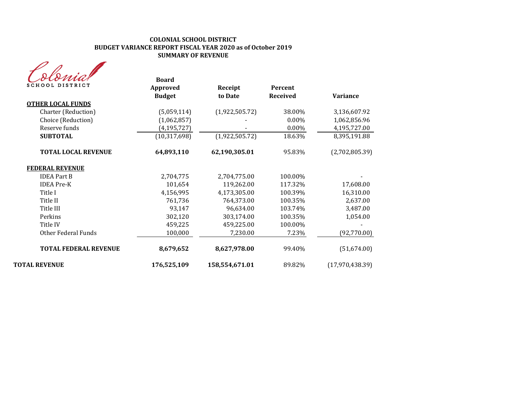| <b>SCHOOL DISTRICT</b>       | <b>Board</b><br>Approved<br><b>Budget</b> | Receipt<br>to Date | Percent<br><b>Received</b> | <b>Variance</b>   |
|------------------------------|-------------------------------------------|--------------------|----------------------------|-------------------|
| <b>OTHER LOCAL FUNDS</b>     |                                           |                    |                            |                   |
| Charter (Reduction)          | (5,059,114)                               | (1,922,505.72)     | 38.00%                     | 3,136,607.92      |
| Choice (Reduction)           | (1,062,857)                               |                    | 0.00%                      | 1,062,856.96      |
| Reserve funds                | (4, 195, 727)                             |                    | 0.00%                      | 4,195,727.00      |
| <b>SUBTOTAL</b>              | (10, 317, 698)                            | (1,922,505.72)     | 18.63%                     | 8,395,191.88      |
| <b>TOTAL LOCAL REVENUE</b>   | 64,893,110                                | 62,190,305.01      | 95.83%                     | (2,702,805.39)    |
| <b>FEDERAL REVENUE</b>       |                                           |                    |                            |                   |
| <b>IDEA Part B</b>           | 2,704,775                                 | 2,704,775.00       | 100.00%                    |                   |
| <b>IDEA</b> Pre-K            | 101,654                                   | 119,262.00         | 117.32%                    | 17,608.00         |
| Title I                      | 4,156,995                                 | 4,173,305.00       | 100.39%                    | 16,310.00         |
| Title II                     | 761,736                                   | 764,373.00         | 100.35%                    | 2,637.00          |
| Title III                    | 93,147                                    | 96,634.00          | 103.74%                    | 3,487.00          |
| Perkins                      | 302,120                                   | 303,174.00         | 100.35%                    | 1,054.00          |
| Title IV                     | 459,225                                   | 459,225.00         | 100.00%                    |                   |
| Other Federal Funds          | 100,000                                   | 7,230.00           | 7.23%                      | (92, 770.00)      |
| <b>TOTAL FEDERAL REVENUE</b> | 8,679,652                                 | 8,627,978.00       | 99.40%                     | (51,674.00)       |
| <b>TOTAL REVENUE</b>         | 176,525,109                               | 158,554,671.01     | 89.82%                     | (17, 970, 438.39) |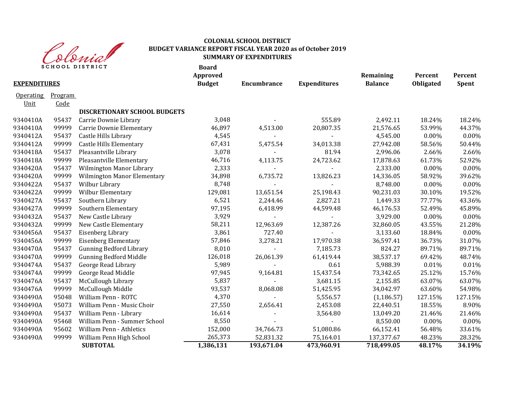

| <b>EXPENDITURES</b> |                | <b>SCHOOL DISTRICT</b>              | <b>Board</b><br>Approved | <b>Encumbrance</b> |                     | Remaining<br><b>Balance</b> | Percent   | Percent |
|---------------------|----------------|-------------------------------------|--------------------------|--------------------|---------------------|-----------------------------|-----------|---------|
|                     |                |                                     | <b>Budget</b>            |                    | <b>Expenditures</b> |                             | Obligated | Spent   |
| <b>Operating</b>    | <b>Program</b> |                                     |                          |                    |                     |                             |           |         |
| <u>Unit</u>         | Code           |                                     |                          |                    |                     |                             |           |         |
|                     |                | <b>DISCRETIONARY SCHOOL BUDGETS</b> |                          |                    |                     |                             |           |         |
| 9340410A            | 95437          | Carrie Downie Library               | 3,048                    |                    | 555.89              | 2,492.11                    | 18.24%    | 18.24%  |
| 9340410A            | 99999          | Carrie Downie Elementary            | 46,897                   | 4,513.00           | 20,807.35           | 21,576.65                   | 53.99%    | 44.37%  |
| 9340412A            | 95437          | Castle Hills Library                | 4,545                    |                    | $\blacksquare$      | 4,545.00                    | $0.00\%$  | 0.00%   |
| 9340412A            | 99999          | <b>Castle Hills Elementary</b>      | 67,431                   | 5,475.54           | 34,013.38           | 27,942.08                   | 58.56%    | 50.44%  |
| 9340418A            | 95437          | Pleasantville Library               | 3,078                    |                    | 81.94               | 2,996.06                    | 2.66%     | 2.66%   |
| 9340418A            | 99999          | Pleasantville Elementary            | 46,716                   | 4,113.75           | 24,723.62           | 17,878.63                   | 61.73%    | 52.92%  |
| 9340420A            | 95437          | Wilmington Manor Library            | 2,333                    |                    |                     | 2,333.00                    | $0.00\%$  | 0.00%   |
| 9340420A            | 99999          | <b>Wilmington Manor Elementary</b>  | 34,898                   | 6,735.72           | 13,826.23           | 14,336.05                   | 58.92%    | 39.62%  |
| 9340422A            | 95437          | Wilbur Library                      | 8,748                    |                    |                     | 8,748.00                    | 0.00%     | 0.00%   |
| 9340422A            | 99999          | Wilbur Elementary                   | 129,081                  | 13,651.54          | 25,198.43           | 90,231.03                   | 30.10%    | 19.52%  |
| 9340427A            | 95437          | Southern Library                    | 6,521                    | 2,244.46           | 2,827.21            | 1,449.33                    | 77.77%    | 43.36%  |
| 9340427A            | 99999          | Southern Elementary                 | 97,195                   | 6,418.99           | 44,599.48           | 46,176.53                   | 52.49%    | 45.89%  |
| 9340432A            | 95437          | New Castle Library                  | 3,929                    | $\blacksquare$     |                     | 3,929.00                    | 0.00%     | 0.00%   |
| 9340432A            | 99999          | New Castle Elementary               | 58,211                   | 12,963.69          | 12,387.26           | 32,860.05                   | 43.55%    | 21.28%  |
| 9340456A            | 95437          | Eisenberg Library                   | 3,861                    | 727.40             | $\overline{a}$      | 3,133.60                    | 18.84%    | 0.00%   |
| 9340456A            | 99999          | <b>Eisenberg Elementary</b>         | 57,846                   | 3,278.21           | 17,970.38           | 36,597.41                   | 36.73%    | 31.07%  |
| 9340470A            | 95437          | <b>Gunning Bedford Library</b>      | 8,010                    |                    | 7,185.73            | 824.27                      | 89.71%    | 89.71%  |
| 9340470A            | 99999          | <b>Gunning Bedford Middle</b>       | 126,018                  | 26,061.39          | 61,419.44           | 38,537.17                   | 69.42%    | 48.74%  |
| 9340474A            | 95437          | George Read Library                 | 5,989                    |                    | 0.61                | 5,988.39                    | 0.01%     | 0.01%   |
| 9340474A            | 99999          | George Read Middle                  | 97,945                   | 9,164.81           | 15,437.54           | 73,342.65                   | 25.12%    | 15.76%  |
| 9340476A            | 95437          | McCullough Library                  | 5,837                    |                    | 3,681.15            | 2,155.85                    | 63.07%    | 63.07%  |
| 9340476A            | 99999          | McCullough Middle                   | 93,537                   | 8,068.08           | 51,425.95           | 34,042.97                   | 63.60%    | 54.98%  |
| 9340490A            | 95048          | William Penn - ROTC                 | 4,370                    |                    | 5,556.57            | (1, 186.57)                 | 127.15%   | 127.15% |
| 9340490A            | 95073          | William Penn - Music Choir          | 27,550                   | 2,656.41           | 2,453.08            | 22,440.51                   | 18.55%    | 8.90%   |
| 9340490A            | 95437          | William Penn - Library              | 16,614                   |                    | 3,564.80            | 13,049.20                   | 21.46%    | 21.46%  |
| 9340490A            | 95468          | William Penn - Summer School        | 8,550                    |                    |                     | 8,550.00                    | $0.00\%$  | 0.00%   |
| 9340490A            | 95602          | <b>William Penn - Athletics</b>     | 152,000                  | 34,766.73          | 51,080.86           | 66,152.41                   | 56.48%    | 33.61%  |
| 9340490A            | 99999          | William Penn High School            | 265,373                  | 52,831.32          | 75,164.01           | 137,377.67                  | 48.23%    | 28.32%  |
|                     |                | <b>SUBTOTAL</b>                     | 1,386,131                | 193,671.04         | 473,960.91          | 718,499.05                  | 48.17%    | 34.19%  |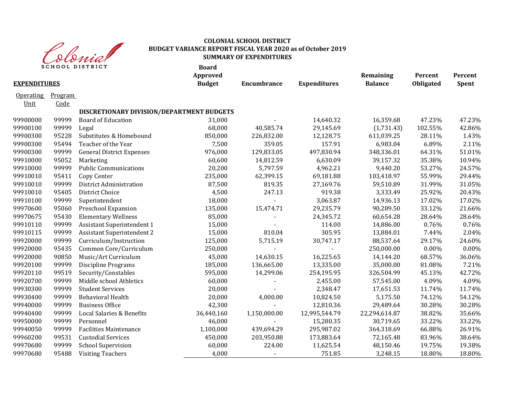

|                     |                 | <b>SCHOOL DISTRICT</b>                    | <b>Board</b><br>Approved |                    |                     | Remaining      | Percent   | Percent |
|---------------------|-----------------|-------------------------------------------|--------------------------|--------------------|---------------------|----------------|-----------|---------|
| <b>EXPENDITURES</b> |                 |                                           | <b>Budget</b>            | <b>Encumbrance</b> | <b>Expenditures</b> | <b>Balance</b> | Obligated | Spent   |
| Operating<br>Unit   | Program<br>Code |                                           |                          |                    |                     |                |           |         |
|                     |                 | DISCRETIONARY DIVISION/DEPARTMENT BUDGETS |                          |                    |                     |                |           |         |
| 99900000            | 99999           | <b>Board of Education</b>                 | 31,000                   |                    | 14,640.32           | 16,359.68      | 47.23%    | 47.23%  |
| 99900100            | 99999           | Legal                                     | 68,000                   | 40,585.74          | 29,145.69           | (1,731.43)     | 102.55%   | 42.86%  |
| 99900300            | 95228           | Substitutes & Homebound                   | 850,000                  | 226,832.00         | 12,128.75           | 611,039.25     | 28.11%    | 1.43%   |
| 99900300            | 95494           | Teacher of the Year                       | 7,500                    | 359.05             | 157.91              | 6,983.04       | 6.89%     | 2.11%   |
| 99900300            | 99999           | <b>General District Expenses</b>          | 976,000                  | 129,833.05         | 497,830.94          | 348,336.01     | 64.31%    | 51.01%  |
| 99910000            | 95052           | Marketing                                 | 60,600                   | 14,812.59          | 6,630.09            | 39,157.32      | 35.38%    | 10.94%  |
| 99910000            | 99999           | <b>Public Communications</b>              | 20,200                   | 5,797.59           | 4,962.21            | 9,440.20       | 53.27%    | 24.57%  |
| 99910010            | 95411           | Copy Center                               | 235,000                  | 62,399.15          | 69,181.88           | 103,418.97     | 55.99%    | 29.44%  |
| 99910010            | 99999           | District Administration                   | 87,500                   | 819.35             | 27,169.76           | 59,510.89      | 31.99%    | 31.05%  |
| 99910010            | 95405           | <b>District Choice</b>                    | 4,500                    | 247.13             | 919.38              | 3,333.49       | 25.92%    | 20.43%  |
| 99910100            | 99999           | Superintendent                            | 18,000                   | $\blacksquare$     | 3,063.87            | 14,936.13      | 17.02%    | 17.02%  |
| 99970600            | 95060           | Preschool Expansion                       | 135,000                  | 15,474.71          | 29,235.79           | 90,289.50      | 33.12%    | 21.66%  |
| 99970675            | 95430           | <b>Elementary Wellness</b>                | 85,000                   |                    | 24,345.72           | 60,654.28      | 28.64%    | 28.64%  |
| 99910110            | 99999           | <b>Assistant Superintendent 1</b>         | 15,000                   |                    | 114.00              | 14,886.00      | 0.76%     | 0.76%   |
| 99910115            | 99999           | <b>Assistant Superintendent 2</b>         | 15,000                   | 810.04             | 305.95              | 13,884.01      | 7.44%     | 2.04%   |
| 99920000            | 99999           | Curriculum/Instruction                    | 125,000                  | 5,715.19           | 30,747.17           | 88,537.64      | 29.17%    | 24.60%  |
| 99920000            | 95435           | Common Core/Curriculum                    | 250,000                  |                    |                     | 250,000.00     | 0.00%     | 0.00%   |
| 99920000            | 90850           | Music/Art Curriculum                      | 45,000                   | 14,630.15          | 16,225.65           | 14,144.20      | 68.57%    | 36.06%  |
| 99920100            | 99999           | <b>Discipline Programs</b>                | 185,000                  | 136,665.00         | 13,335.00           | 35,000.00      | 81.08%    | 7.21%   |
| 99920110            | 99519           | Security/Constables                       | 595,000                  | 14,299.06          | 254,195.95          | 326,504.99     | 45.13%    | 42.72%  |
| 99920700            | 99999           | Middle school Athletics                   | 60,000                   |                    | 2,455.00            | 57,545.00      | 4.09%     | 4.09%   |
| 99930300            | 99999           | <b>Student Services</b>                   | 20,000                   |                    | 2,348.47            | 17,651.53      | 11.74%    | 11.74%  |
| 99930400            | 99999           | <b>Behavioral Health</b>                  | 20,000                   | 4,000.00           | 10,824.50           | 5,175.50       | 74.12%    | 54.12%  |
| 99940000            | 99999           | <b>Business Office</b>                    | 42,300                   |                    | 12,810.36           | 29,489.64      | 30.28%    | 30.28%  |
| 99940400            | 99999           | Local Salaries & Benefits                 | 36,440,160               | 1,150,000.00       | 12,995,544.79       | 22,294,614.87  | 38.82%    | 35.66%  |
| 99950000            | 99999           | Personnel                                 | 46,000                   |                    | 15,280.35           | 30,719.65      | 33.22%    | 33.22%  |
| 99940050            | 99999           | <b>Facilities Maintenance</b>             | 1,100,000                | 439,694.29         | 295,987.02          | 364,318.69     | 66.88%    | 26.91%  |
| 99960200            | 99531           | <b>Custodial Services</b>                 | 450,000                  | 203,950.88         | 173,883.64          | 72,165.48      | 83.96%    | 38.64%  |
| 99970680            | 99999           | <b>School Supervision</b>                 | 60,000                   | 224.00             | 11,625.54           | 48,150.46      | 19.75%    | 19.38%  |
| 99970680            | 95488           | <b>Visiting Teachers</b>                  | 4,000                    |                    | 751.85              | 3,248.15       | 18.80%    | 18.80%  |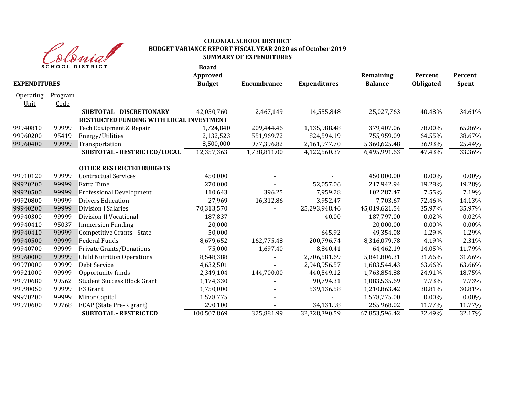

|                          |                 | <b>SCHOOL DISTRICT</b>                                                      | <b>Board</b><br>Approved |              |                     | Remaining      | Percent   | Percent  |
|--------------------------|-----------------|-----------------------------------------------------------------------------|--------------------------|--------------|---------------------|----------------|-----------|----------|
| <b>EXPENDITURES</b>      |                 |                                                                             | <b>Budget</b>            | Encumbrance  | <b>Expenditures</b> | <b>Balance</b> | Obligated | Spent    |
| <b>Operating</b><br>Unit | Program<br>Code |                                                                             |                          |              |                     |                |           |          |
|                          |                 | <b>SUBTOTAL - DISCRETIONARY</b><br>RESTRICTED FUNDING WITH LOCAL INVESTMENT | 42,050,760               | 2,467,149    | 14,555,848          | 25,027,763     | 40.48%    | 34.61%   |
| 99940810                 | 99999           | Tech Equipment & Repair                                                     | 1,724,840                | 209,444.46   | 1,135,988.48        | 379,407.06     | 78.00%    | 65.86%   |
| 99960200                 | 95419           | Energy/Utilities                                                            | 2,132,523                | 551,969.72   | 824,594.19          | 755,959.09     | 64.55%    | 38.67%   |
| 99960400                 | 99999           | Transportation                                                              | 8,500,000                | 977,396.82   | 2,161,977.70        | 5,360,625.48   | 36.93%    | 25.44%   |
|                          |                 | SUBTOTAL - RESTRICTED/LOCAL                                                 | 12,357,363               | 1,738,811.00 | 4,122,560.37        | 6,495,991.63   | 47.43%    | 33.36%   |
|                          |                 | <b>OTHER RESTRICTED BUDGETS</b>                                             |                          |              |                     |                |           |          |
| 99910120                 | 99999           | <b>Contractual Services</b>                                                 | 450,000                  |              |                     | 450,000.00     | $0.00\%$  | $0.00\%$ |
| 99920200                 | 99999           | Extra Time                                                                  | 270,000                  |              | 52,057.06           | 217,942.94     | 19.28%    | 19.28%   |
| 99920500                 | 99999           | Professional Development                                                    | 110,643                  | 396.25       | 7,959.28            | 102,287.47     | 7.55%     | 7.19%    |
| 99920800                 | 99999           | <b>Drivers Education</b>                                                    | 27,969                   | 16,312.86    | 3,952.47            | 7,703.67       | 72.46%    | 14.13%   |
| 99940200                 | 99999           | <b>Division I Salaries</b>                                                  | 70,313,570               |              | 25,293,948.46       | 45,019,621.54  | 35.97%    | 35.97%   |
| 99940300                 | 99999           | Division II Vocational                                                      | 187,837                  |              | 40.00               | 187,797.00     | 0.02%     | 0.02%    |
| 99940410                 | 95037           | <b>Immersion Funding</b>                                                    | 20,000                   |              |                     | 20,000.00      | 0.00%     | 0.00%    |
| 99940410                 | 99999           | Competitive Grants - State                                                  | 50,000                   |              | 645.92              | 49,354.08      | 1.29%     | 1.29%    |
| 99940500                 | 99999           | <b>Federal Funds</b>                                                        | 8,679,652                | 162,775.48   | 200,796.74          | 8,316,079.78   | 4.19%     | 2.31%    |
| 99940700                 | 99999           | Private Grants/Donations                                                    | 75,000                   | 1,697.40     | 8,840.41            | 64,462.19      | 14.05%    | 11.79%   |
| 99960000                 | 99999           | <b>Child Nutrition Operations</b>                                           | 8,548,388                |              | 2,706,581.69        | 5,841,806.31   | 31.66%    | 31.66%   |
| 99970000                 | 99999           | Debt Service                                                                | 4,632,501                |              | 2,948,956.57        | 1,683,544.43   | 63.66%    | 63.66%   |
| 99921000                 | 99999           | Opportunity funds                                                           | 2,349,104                | 144,700.00   | 440,549.12          | 1,763,854.88   | 24.91%    | 18.75%   |
| 99970680                 | 99562           | <b>Student Success Block Grant</b>                                          | 1,174,330                |              | 90,794.31           | 1,083,535.69   | 7.73%     | 7.73%    |
| 99990050                 | 99999           | E3 Grant                                                                    | 1,750,000                |              | 539,136.58          | 1,210,863.42   | 30.81%    | 30.81%   |
| 99970200                 | 99999           | Minor Capital                                                               | 1,578,775                |              |                     | 1,578,775.00   | 0.00%     | 0.00%    |
| 99970600                 | 99768           | ECAP (State Pre-K grant)                                                    | 290,100                  |              | 34,131.98           | 255,968.02     | 11.77%    | 11.77%   |
|                          |                 | <b>SUBTOTAL - RESTRICTED</b>                                                | 100,507,869              | 325,881.99   | 32,328,390.59       | 67,853,596.42  | 32.49%    | 32.17%   |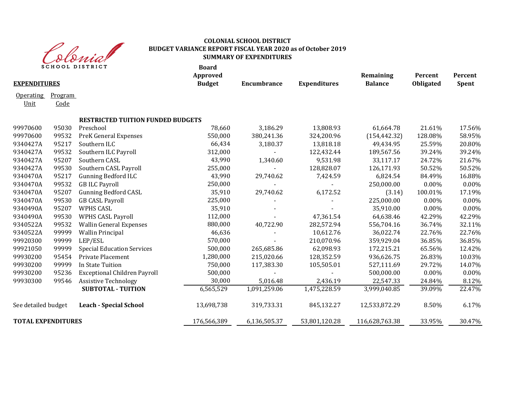

|                           |         | <b>SCHOOL DISTRICT</b>                   | <b>Board</b><br>Approved |                |                     | Remaining      | Percent   | Percent      |
|---------------------------|---------|------------------------------------------|--------------------------|----------------|---------------------|----------------|-----------|--------------|
| <b>EXPENDITURES</b>       |         |                                          | <b>Budget</b>            | Encumbrance    | <b>Expenditures</b> | <b>Balance</b> | Obligated | <b>Spent</b> |
| <b>Operating</b>          | Program |                                          |                          |                |                     |                |           |              |
| Unit                      | Code    |                                          |                          |                |                     |                |           |              |
|                           |         | <b>RESTRICTED TUITION FUNDED BUDGETS</b> |                          |                |                     |                |           |              |
| 99970600                  | 95030   | Preschool                                | 78,660                   | 3,186.29       | 13,808.93           | 61,664.78      | 21.61%    | 17.56%       |
| 99970600                  | 99532   | <b>PreK General Expenses</b>             | 550,000                  | 380,241.36     | 324,200.96          | (154, 442.32)  | 128.08%   | 58.95%       |
| 9340427A                  | 95217   | Southern ILC                             | 66,434                   | 3,180.37       | 13,818.18           | 49,434.95      | 25.59%    | 20.80%       |
| 9340427A                  | 99532   | Southern ILC Payroll                     | 312,000                  |                | 122,432.44          | 189,567.56     | 39.24%    | 39.24%       |
| 9340427A                  | 95207   | Southern CASL                            | 43,990                   | 1,340.60       | 9,531.98            | 33,117.17      | 24.72%    | 21.67%       |
| 9340427A                  | 99530   | Southern CASL Payroll                    | 255,000                  |                | 128,828.07          | 126,171.93     | 50.52%    | 50.52%       |
| 9340470A                  | 95217   | <b>Gunning Bedford ILC</b>               | 43,990                   | 29,740.62      | 7,424.59            | 6,824.54       | 84.49%    | 16.88%       |
| 9340470A                  | 99532   | <b>GB ILC Payroll</b>                    | 250,000                  |                |                     | 250,000.00     | 0.00%     | 0.00%        |
| 9340470A                  | 95207   | <b>Gunning Bedford CASL</b>              | 35,910                   | 29,740.62      | 6,172.52            | (3.14)         | 100.01%   | 17.19%       |
| 9340470A                  | 99530   | <b>GB CASL Payroll</b>                   | 225,000                  |                |                     | 225,000.00     | 0.00%     | $0.00\%$     |
| 9340490A                  | 95207   | WPHS CASL                                | 35,910                   |                |                     | 35,910.00      | $0.00\%$  | 0.00%        |
| 9340490A                  | 99530   | <b>WPHS CASL Payroll</b>                 | 112,000                  |                | 47,361.54           | 64,638.46      | 42.29%    | 42.29%       |
| 9340522A                  | 99532   | <b>Wallin General Expenses</b>           | 880,000                  | 40,722.90      | 282,572.94          | 556,704.16     | 36.74%    | 32.11%       |
| 9340522A                  | 99999   | <b>Wallin Principal</b>                  | 46,636                   |                | 10,612.76           | 36,022.74      | 22.76%    | 22.76%       |
| 99920300                  | 99999   | LEP/ESL                                  | 570,000                  |                | 210,070.96          | 359,929.04     | 36.85%    | 36.85%       |
| 99921050                  | 99999   | <b>Special Education Services</b>        | 500,000                  | 265,685.86     | 62,098.93           | 172,215.21     | 65.56%    | 12.42%       |
| 99930200                  | 95454   | Private Placement                        | 1,280,000                | 215,020.66     | 128,352.59          | 936,626.75     | 26.83%    | 10.03%       |
| 99930200                  | 99999   | In State Tuition                         | 750,000                  | 117,383.30     | 105,505.01          | 527,111.69     | 29.72%    | 14.07%       |
| 99930200                  | 95236   | <b>Exceptional Children Payroll</b>      | 500,000                  | $\blacksquare$ | $\blacksquare$      | 500,000.00     | $0.00\%$  | 0.00%        |
| 99930300                  | 99546   | <b>Assistive Technology</b>              | 30,000                   | 5,016.48       | 2,436.19            | 22,547.33      | 24.84%    | 8.12%        |
|                           |         | <b>SUBTOTAL - TUITION</b>                | 6,565,529                | 1,091,259.06   | 1,475,228.59        | 3,999,040.85   | 39.09%    | 22.47%       |
| See detailed budget       |         | <b>Leach - Special School</b>            | 13,698,738               | 319,733.31     | 845,132.27          | 12,533,872.29  | 8.50%     | 6.17%        |
| <b>TOTAL EXPENDITURES</b> |         |                                          | 176,566,389              | 6,136,505.37   | 53,801,120.28       | 116,628,763.38 | 33.95%    | 30.47%       |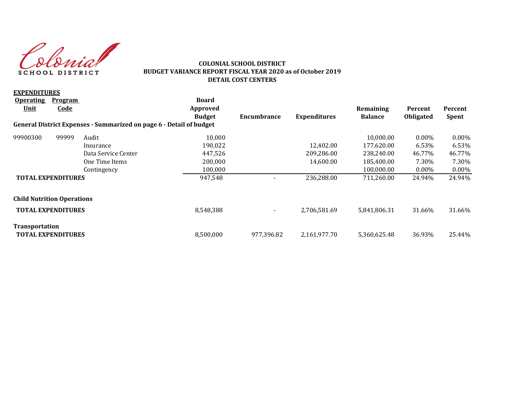Colonial SCHOOL DISTRICT

### **COLONIAL SCHOOL DISTRICT BUDGET VARIANCE REPORT FISCAL YEAR 2020 as of October 2019 DETAIL COST CENTERS**

| <b>EXPENDITURES</b>               |                           |                                                                     |               |                          |                     |                |                  |              |
|-----------------------------------|---------------------------|---------------------------------------------------------------------|---------------|--------------------------|---------------------|----------------|------------------|--------------|
| <b>Operating</b>                  | Program                   |                                                                     | <b>Board</b>  |                          |                     |                |                  |              |
| Unit                              | <u>Code</u>               |                                                                     | Approved      |                          |                     | Remaining      | Percent          | Percent      |
|                                   |                           |                                                                     | <b>Budget</b> | Encumbrance              | <b>Expenditures</b> | <b>Balance</b> | <b>Obligated</b> | <b>Spent</b> |
|                                   |                           | General District Expenses - Summarized on page 6 - Detail of budget |               |                          |                     |                |                  |              |
| 99900300                          | 99999                     | Audit                                                               | 10,000        |                          |                     | 10,000.00      | $0.00\%$         | $0.00\%$     |
|                                   |                           | Insurance                                                           | 190,022       |                          | 12,402.00           | 177,620.00     | 6.53%            | 6.53%        |
|                                   |                           | Data Service Center                                                 | 447,526       |                          | 209,286.00          | 238,240.00     | 46.77%           | 46.77%       |
|                                   |                           | One Time Items                                                      | 200,000       |                          | 14,600.00           | 185,400.00     | 7.30%            | 7.30%        |
|                                   |                           | Contingency                                                         | 100,000       |                          |                     | 100,000.00     | $0.00\%$         | $0.00\%$     |
|                                   | <b>TOTAL EXPENDITURES</b> |                                                                     | 947,548       |                          | 236,288.00          | 711,260.00     | 24.94%           | 24.94%       |
| <b>Child Nutrition Operations</b> |                           |                                                                     |               |                          |                     |                |                  |              |
|                                   | <b>TOTAL EXPENDITURES</b> |                                                                     | 8,548,388     | $\overline{\phantom{a}}$ | 2,706,581.69        | 5,841,806.31   | 31.66%           | 31.66%       |
| Transportation                    |                           |                                                                     |               |                          |                     |                |                  |              |
|                                   | <b>TOTAL EXPENDITURES</b> |                                                                     | 8,500,000     | 977,396.82               | 2,161,977.70        | 5,360,625.48   | 36.93%           | 25.44%       |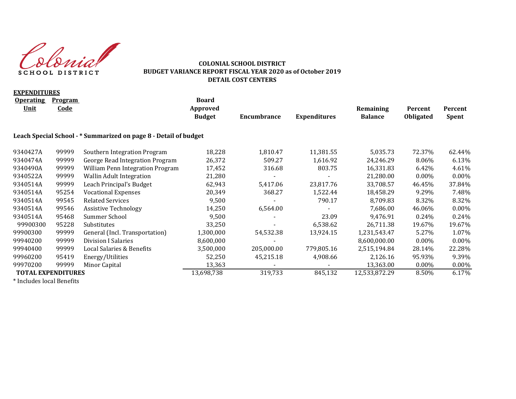Colonial SCHOOL DISTRICT

### **COLONIAL SCHOOL DISTRICT BUDGET VARIANCE REPORT FISCAL YEAR 2020 as of October 2019 DETAIL COST CENTERS**

| <b>EXPENDITURES</b>             |                               |                                                                  |                                           |             |                     |                             |                             |                         |
|---------------------------------|-------------------------------|------------------------------------------------------------------|-------------------------------------------|-------------|---------------------|-----------------------------|-----------------------------|-------------------------|
| <b>Operating</b><br><u>Unit</u> | <b>Program</b><br><u>Code</u> |                                                                  | <b>Board</b><br>Approved<br><b>Budget</b> | Encumbrance | <b>Expenditures</b> | Remaining<br><b>Balance</b> | Percent<br><b>Obligated</b> | Percent<br><b>Spent</b> |
|                                 |                               | Leach Special School - * Summarized on page 8 - Detail of budget |                                           |             |                     |                             |                             |                         |
| 9340427A                        | 99999                         | Southern Integration Program                                     | 18,228                                    | 1,810.47    | 11,381.55           | 5,035.73                    | 72.37%                      | 62.44%                  |
| 9340474A                        | 99999                         | George Read Integration Program                                  | 26,372                                    | 509.27      | 1,616.92            | 24,246.29                   | 8.06%                       | 6.13%                   |
| 9340490A                        | 99999                         | William Penn Integration Program                                 | 17,452                                    | 316.68      | 803.75              | 16,331.83                   | 6.42%                       | 4.61%                   |
| 9340522A                        | 99999                         | <b>Wallin Adult Integration</b>                                  | 21,280                                    |             |                     | 21,280.00                   | $0.00\%$                    | $0.00\%$                |
| 9340514A                        | 99999                         | Leach Principal's Budget                                         | 62,943                                    | 5,417.06    | 23,817.76           | 33,708.57                   | 46.45%                      | 37.84%                  |
| 9340514A                        | 95254                         | <b>Vocational Expenses</b>                                       | 20,349                                    | 368.27      | 1,522.44            | 18,458.29                   | 9.29%                       | 7.48%                   |
| 9340514A                        | 99545                         | <b>Related Services</b>                                          | 9,500                                     |             | 790.17              | 8,709.83                    | 8.32%                       | 8.32%                   |
| 9340514A                        | 99546                         | <b>Assistive Technology</b>                                      | 14,250                                    | 6,564.00    |                     | 7,686.00                    | 46.06%                      | $0.00\%$                |
| 9340514A                        | 95468                         | Summer School                                                    | 9,500                                     |             | 23.09               | 9,476.91                    | 0.24%                       | 0.24%                   |
| 99900300                        | 95228                         | Substitutes                                                      | 33,250                                    |             | 6,538.62            | 26,711.38                   | 19.67%                      | 19.67%                  |
| 99900300                        | 99999                         | General (Incl. Transportation)                                   | 1,300,000                                 | 54,532.38   | 13,924.15           | 1,231,543.47                | 5.27%                       | 1.07%                   |
| 99940200                        | 99999                         | Division I Salaries                                              | 8,600,000                                 |             |                     | 8,600,000.00                | $0.00\%$                    | 0.00%                   |
| 99940400                        | 99999                         | Local Salaries & Benefits                                        | 3,500,000                                 | 205,000.00  | 779,805.16          | 2,515,194.84                | 28.14%                      | 22.28%                  |
| 99960200                        | 95419                         | Energy/Utilities                                                 | 52,250                                    | 45,215.18   | 4,908.66            | 2,126.16                    | 95.93%                      | 9.39%                   |
| 99970200                        | 99999                         | Minor Capital                                                    | 13,363                                    |             |                     | 13,363.00                   | $0.00\%$                    | 0.00%                   |
| <b>TOTAL EXPENDITURES</b>       |                               |                                                                  | 13,698,738                                | 319,733     | 845,132             | 12,533,872.29               | 8.50%                       | 6.17%                   |
| $*$ Lackedea Lead Denefita      |                               |                                                                  |                                           |             |                     |                             |                             |                         |

\* Includes local Benefits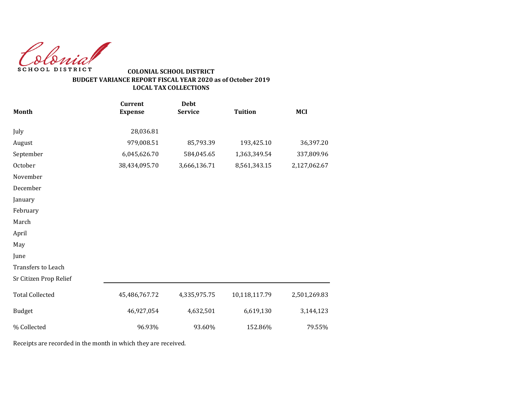Colonial SCHOOL DISTRICT

# **BUDGET VARIANCE REPORT FISCAL YEAR 2020 as of October 2019 LOCAL TAX COLLECTIONS COLONIAL SCHOOL DISTRICT**

| <b>Month</b>           | <b>Current</b><br><b>Expense</b> | <b>Debt</b><br><b>Service</b> | <b>Tuition</b> | <b>MCI</b>   |
|------------------------|----------------------------------|-------------------------------|----------------|--------------|
| July                   | 28,036.81                        |                               |                |              |
| August                 | 979,008.51                       | 85,793.39                     | 193,425.10     | 36,397.20    |
| September              | 6,045,626.70                     | 584,045.65                    | 1,363,349.54   | 337,809.96   |
| October                | 38,434,095.70                    | 3,666,136.71                  | 8,561,343.15   | 2,127,062.67 |
| November               |                                  |                               |                |              |
| December               |                                  |                               |                |              |
| January                |                                  |                               |                |              |
| February               |                                  |                               |                |              |
| March                  |                                  |                               |                |              |
| April                  |                                  |                               |                |              |
| May                    |                                  |                               |                |              |
| June                   |                                  |                               |                |              |
| Transfers to Leach     |                                  |                               |                |              |
| Sr Citizen Prop Relief |                                  |                               |                |              |
| <b>Total Collected</b> | 45,486,767.72                    | 4,335,975.75                  | 10,118,117.79  | 2,501,269.83 |
| <b>Budget</b>          | 46,927,054                       | 4,632,501                     | 6,619,130      | 3,144,123    |
| % Collected            | 96.93%                           | 93.60%                        | 152.86%        | 79.55%       |

Receipts are recorded in the month in which they are received.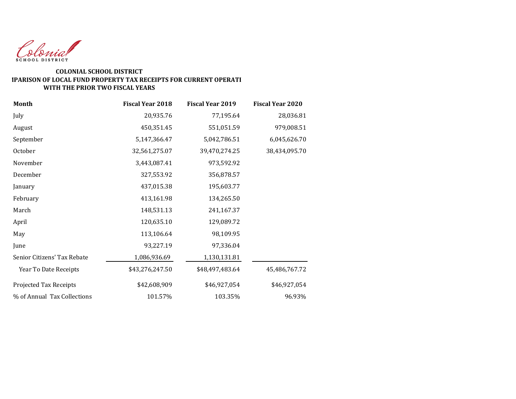

#### **WITH THE PRIOR TWO FISCAL YEARS COLONIAL SCHOOL DISTRICT COMPARISON OF LOCAL FUND PROPERTY TAX RECEIPTS FOR CURRENT OPERATI**

| <b>Month</b>                | <b>Fiscal Year 2018</b> | <b>Fiscal Year 2019</b> | <b>Fiscal Year 2020</b> |
|-----------------------------|-------------------------|-------------------------|-------------------------|
| July                        | 20,935.76               | 77,195.64               | 28,036.81               |
| August                      | 450,351.45              | 551,051.59              | 979,008.51              |
| September                   | 5,147,366.47            | 5,042,786.51            | 6,045,626.70            |
| October                     | 32,561,275.07           | 39,470,274.25           | 38,434,095.70           |
| November                    | 3,443,087.41            | 973,592.92              |                         |
| December                    | 327,553.92              | 356,878.57              |                         |
| January                     | 437,015.38              | 195,603.77              |                         |
| February                    | 413,161.98              | 134,265.50              |                         |
| March                       | 148,531.13              | 241,167.37              |                         |
| April                       | 120,635.10              | 129,089.72              |                         |
| May                         | 113,106.64              | 98,109.95               |                         |
| June                        | 93,227.19               | 97,336.04               |                         |
| Senior Citizens' Tax Rebate | 1,086,936.69            | 1,130,131.81            |                         |
| Year To Date Receipts       | \$43,276,247.50         | \$48,497,483.64         | 45,486,767.72           |
| Projected Tax Receipts      | \$42,608,909            | \$46,927,054            | \$46,927,054            |
| % of Annual Tax Collections | 101.57%                 | 103.35%                 | 96.93%                  |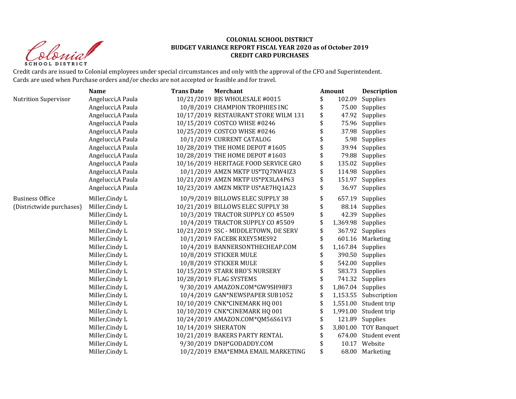Shrip **SCHOOL DISTRICT** 

#### **COLONIAL SCHOOL DISTRICT BUDGET VARIANCE REPORT FISCAL YEAR 2020 as of October 2019 CREDIT CARD PURCHASES**

Credit cards are issued to Colonial employees under special circumstances and only with the approval of the CFO and Superintendent. Cards are used when Purchase orders and/or checks are not accepted or feasible and for travel.

|                             | <b>Name</b>        | <b>Trans Date</b>   | <b>Merchant</b>                      | Amount                  | <b>Description</b>    |
|-----------------------------|--------------------|---------------------|--------------------------------------|-------------------------|-----------------------|
| <b>Nutrition Supervisor</b> | Angelucci, A Paula |                     | 10/21/2019 BJS WHOLESALE #0015       | \$<br>102.09            | Supplies              |
|                             | Angelucci, A Paula |                     | 10/8/2019 CHAMPION TROPHIES INC      | \$<br>75.00             | Supplies              |
|                             | Angelucci, A Paula |                     | 10/17/2019 RESTAURANT STORE WILM 131 | \$                      | 47.92 Supplies        |
|                             | Angelucci, A Paula |                     | 10/15/2019 COSTCO WHSE #0246         | \$                      | 75.96 Supplies        |
|                             | Angelucci, A Paula |                     | 10/25/2019 COSTCO WHSE #0246         | 37.98                   | Supplies              |
|                             | Angelucci, A Paula |                     | 10/1/2019 CURRENT CATALOG            | 5.98                    | Supplies              |
|                             | Angelucci, A Paula |                     | 10/28/2019 THE HOME DEPOT #1605      |                         | 39.94 Supplies        |
|                             | Angelucci, A Paula |                     | 10/28/2019 THE HOME DEPOT #1603      | \$                      | 79.88 Supplies        |
|                             | Angelucci, A Paula |                     | 10/16/2019 HERITAGE FOOD SERVICE GRO | \$<br>135.02            | Supplies              |
|                             | Angelucci, A Paula |                     | 10/1/2019 AMZN MKTP US*TQ7NW4IZ3     | \$                      | 114.98 Supplies       |
|                             | Angelucci, A Paula |                     | 10/21/2019 AMZN MKTP US*PX3LA4P63    | \$                      | 151.97 Supplies       |
|                             | Angelucci, A Paula |                     | 10/23/2019 AMZN MKTP US*AE7HQ1A23    | \$                      | 36.97 Supplies        |
| <b>Business Office</b>      | Miller, Cindy L    |                     | 10/9/2019 BILLOWS ELEC SUPPLY 38     | \$                      | 657.19 Supplies       |
| (Districtwide purchases)    | Miller, Cindy L    |                     | 10/21/2019 BILLOWS ELEC SUPPLY 38    | \$                      | 88.14 Supplies        |
|                             | Miller, Cindy L    |                     | 10/3/2019 TRACTOR SUPPLY CO #5509    | \$                      | 42.39 Supplies        |
|                             | Miller, Cindy L    |                     | 10/4/2019 TRACTOR SUPPLY CO #5509    | \$                      | 1,369.98 Supplies     |
|                             | Miller, Cindy L    |                     | 10/21/2019 SSC - MIDDLETOWN, DE SERV | \$                      | 367.92 Supplies       |
|                             | Miller, Cindy L    |                     | 10/1/2019 FACEBK RXEY5MES92          | \$                      | 601.16 Marketing      |
|                             | Miller, Cindy L    |                     | 10/4/2019 BANNERSONTHECHEAP.COM      | \$                      | 1,167.84 Supplies     |
|                             | Miller, Cindy L    |                     | 10/8/2019 STICKER MULE               | \$                      | 390.50 Supplies       |
|                             | Miller, Cindy L    |                     | 10/8/2019 STICKER MULE               | \$                      | 542.00 Supplies       |
|                             | Miller, Cindy L    |                     | 10/15/2019 STARK BRO'S NURSERY       | \$                      | 583.73 Supplies       |
|                             | Miller, Cindy L    |                     | 10/28/2019 FLAG SYSTEMS              |                         | 741.32 Supplies       |
|                             | Miller, Cindy L    |                     | 9/30/2019 AMAZON.COM*GW9SH98F3       | \$<br>1,867.04 Supplies |                       |
|                             | Miller, Cindy L    |                     | 10/4/2019 GAN*NEWSPAPER SUB1052      | \$                      | 1,153.55 Subscription |
|                             | Miller, Cindy L    |                     | 10/10/2019 CNK*CINEMARK HQ 001       |                         | 1,551.00 Student trip |
|                             | Miller, Cindy L    |                     | 10/10/2019 CNK*CINEMARK HQ 001       | 1,991.00                | Student trip          |
|                             | Miller, Cindy L    |                     | 10/24/2019 AMAZON.COM*QM56S61V3      | \$                      | 121.89 Supplies       |
|                             | Miller, Cindy L    | 10/14/2019 SHERATON |                                      |                         | 3,801.00 TOY Banquet  |
|                             | Miller, Cindy L    |                     | 10/21/2019 BAKERS PARTY RENTAL       | 674.00                  | Student event         |
|                             | Miller, Cindy L    |                     | 9/30/2019 DNH*GODADDY.COM            | 10.17                   | Website               |
|                             | Miller, Cindy L    |                     | 10/2/2019 EMA*EMMA EMAIL MARKETING   | \$                      | 68.00 Marketing       |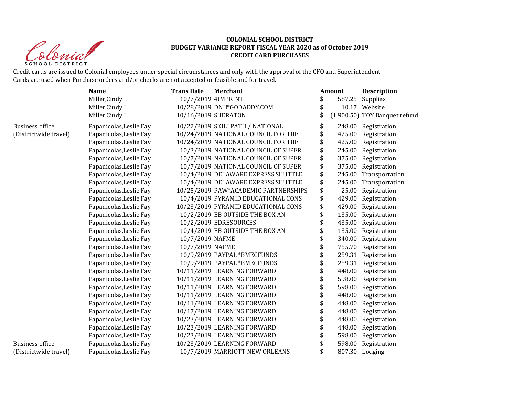

#### **COLONIAL SCHOOL DISTRICT BUDGET VARIANCE REPORT FISCAL YEAR 2020 as of October 2019 CREDIT CARD PURCHASES**

Credit cards are issued to Colonial employees under special circumstances and only with the approval of the CFO and Superintendent. Cards are used when Purchase orders and/or checks are not accepted or feasible and for travel.

|                        | <b>Name</b>             | <b>Trans Date</b>   | <b>Merchant</b>                      | Amount       | <b>Description</b>            |
|------------------------|-------------------------|---------------------|--------------------------------------|--------------|-------------------------------|
|                        | Miller, Cindy L         | 10/7/2019 4IMPRINT  |                                      | 587.25       | Supplies                      |
|                        | Miller, Cindy L         |                     | 10/28/2019 DNH*GODADDY.COM           | \$           | 10.17 Website                 |
|                        | Miller, Cindy L         | 10/16/2019 SHERATON |                                      |              | (1,900.50) TOY Banquet refund |
| <b>Business office</b> | Papanicolas, Leslie Fay |                     | 10/22/2019 SKILLPATH / NATIONAL      | \$<br>248.00 | Registration                  |
| (Districtwide travel)  | Papanicolas, Leslie Fay |                     | 10/24/2019 NATIONAL COUNCIL FOR THE  | \$<br>425.00 | Registration                  |
|                        | Papanicolas, Leslie Fay |                     | 10/24/2019 NATIONAL COUNCIL FOR THE  | \$<br>425.00 | Registration                  |
|                        | Papanicolas, Leslie Fay |                     | 10/3/2019 NATIONAL COUNCIL OF SUPER  | \$<br>245.00 | Registration                  |
|                        | Papanicolas, Leslie Fay |                     | 10/7/2019 NATIONAL COUNCIL OF SUPER  | \$<br>375.00 | Registration                  |
|                        | Papanicolas, Leslie Fay |                     | 10/7/2019 NATIONAL COUNCIL OF SUPER  | \$<br>375.00 | Registration                  |
|                        | Papanicolas, Leslie Fay |                     | 10/4/2019 DELAWARE EXPRESS SHUTTLE   | \$<br>245.00 | Transportation                |
|                        | Papanicolas, Leslie Fay |                     | 10/4/2019 DELAWARE EXPRESS SHUTTLE   | \$<br>245.00 | Transportation                |
|                        | Papanicolas, Leslie Fay |                     | 10/25/2019 PAW*ACADEMIC PARTNERSHIPS | \$<br>25.00  | Registration                  |
|                        | Papanicolas, Leslie Fay |                     | 10/4/2019 PYRAMID EDUCATIONAL CONS   | \$<br>429.00 | Registration                  |
|                        | Papanicolas, Leslie Fay |                     | 10/23/2019 PYRAMID EDUCATIONAL CONS  | \$<br>429.00 | Registration                  |
|                        | Papanicolas, Leslie Fay |                     | 10/2/2019 EB OUTSIDE THE BOX AN      | \$<br>135.00 | Registration                  |
|                        | Papanicolas, Leslie Fay |                     | 10/2/2019 EDRESOURCES                | 435.00       | Registration                  |
|                        | Papanicolas, Leslie Fay |                     | 10/4/2019 EB OUTSIDE THE BOX AN      | \$<br>135.00 | Registration                  |
|                        | Papanicolas, Leslie Fay | 10/7/2019 NAFME     |                                      | 340.00       | Registration                  |
|                        | Papanicolas, Leslie Fay | 10/7/2019 NAFME     |                                      | 755.70       | Registration                  |
|                        | Papanicolas, Leslie Fay |                     | 10/9/2019 PAYPAL *BMECFUNDS          | 259.31       | Registration                  |
|                        | Papanicolas, Leslie Fay |                     | 10/9/2019 PAYPAL *BMECFUNDS          | \$<br>259.31 | Registration                  |
|                        | Papanicolas, Leslie Fay |                     | 10/11/2019 LEARNING FORWARD          | 448.00       | Registration                  |
|                        | Papanicolas, Leslie Fay |                     | 10/11/2019 LEARNING FORWARD          | 598.00       | Registration                  |
|                        | Papanicolas, Leslie Fay |                     | 10/11/2019 LEARNING FORWARD          | \$<br>598.00 | Registration                  |
|                        | Papanicolas, Leslie Fay |                     | 10/11/2019 LEARNING FORWARD          | \$<br>448.00 | Registration                  |
|                        | Papanicolas, Leslie Fay |                     | 10/11/2019 LEARNING FORWARD          | \$<br>448.00 | Registration                  |
|                        | Papanicolas, Leslie Fay |                     | 10/17/2019 LEARNING FORWARD          | \$<br>448.00 | Registration                  |
|                        | Papanicolas, Leslie Fay |                     | 10/23/2019 LEARNING FORWARD          | \$<br>448.00 | Registration                  |
|                        | Papanicolas, Leslie Fay |                     | 10/23/2019 LEARNING FORWARD          | \$<br>448.00 | Registration                  |
|                        | Papanicolas, Leslie Fay |                     | 10/23/2019 LEARNING FORWARD          | \$<br>598.00 | Registration                  |
| <b>Business office</b> | Papanicolas, Leslie Fay |                     | 10/23/2019 LEARNING FORWARD          | 598.00       | Registration                  |
| (Districtwide travel)  | Papanicolas, Leslie Fay |                     | 10/7/2019 MARRIOTT NEW ORLEANS       |              | 807.30 Lodging                |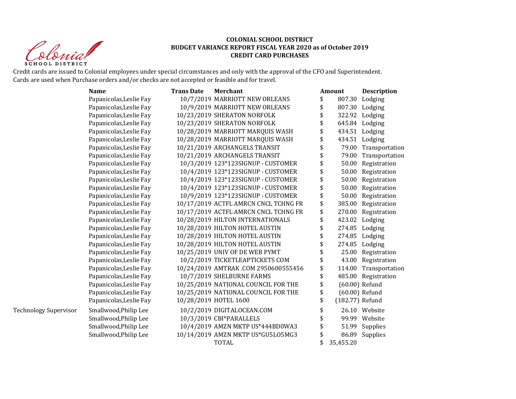Sprist **SCHOOL DISTRICT** 

#### **COLONIAL SCHOOL DISTRICT BUDGET VARIANCE REPORT FISCAL YEAR 2020 as of October 2019 CREDIT CARD PURCHASES**

Credit cards are issued to Colonial employees under special circumstances and only with the approval of the CFO and Superintendent. Cards are used when Purchase orders and/or checks are not accepted or feasible and for travel.

|                              | <b>Name</b>             | <b>Trans Date</b> | <b>Merchant</b>                      | Amount                | <b>Description</b>  |
|------------------------------|-------------------------|-------------------|--------------------------------------|-----------------------|---------------------|
|                              | Papanicolas, Leslie Fay |                   | 10/7/2019 MARRIOTT NEW ORLEANS       | \$<br>807.30          | Lodging             |
|                              | Papanicolas, Leslie Fay |                   | 10/9/2019 MARRIOTT NEW ORLEANS       | \$                    | 807.30 Lodging      |
|                              | Papanicolas, Leslie Fay |                   | 10/23/2019 SHERATON NORFOLK          | \$                    | 322.92 Lodging      |
|                              | Papanicolas, Leslie Fay |                   | 10/23/2019 SHERATON NORFOLK          | \$                    | 645.84 Lodging      |
|                              | Papanicolas, Leslie Fay |                   | 10/28/2019 MARRIOTT MARQUIS WASH     |                       | 434.51 Lodging      |
|                              | Papanicolas, Leslie Fay |                   | 10/28/2019 MARRIOTT MARQUIS WASH     | \$                    | 434.51 Lodging      |
|                              | Papanicolas, Leslie Fay |                   | 10/21/2019 ARCHANGELS TRANSIT        | 79.00                 | Transportation      |
|                              | Papanicolas, Leslie Fay |                   | 10/21/2019 ARCHANGELS TRANSIT        | 79.00                 | Transportation      |
|                              | Papanicolas, Leslie Fay |                   | 10/3/2019 123*123SIGNUP - CUSTOMER   | \$<br>50.00           | Registration        |
|                              | Papanicolas, Leslie Fay |                   | 10/4/2019 123*123SIGNUP - CUSTOMER   | \$<br>50.00           | Registration        |
|                              | Papanicolas, Leslie Fay |                   | 10/4/2019 123*123SIGNUP - CUSTOMER   | \$<br>50.00           | Registration        |
|                              | Papanicolas, Leslie Fay |                   | 10/4/2019 123*123SIGNUP - CUSTOMER   | \$<br>50.00           | Registration        |
|                              | Papanicolas, Leslie Fay |                   | 10/9/2019 123*123SIGNUP - CUSTOMER   | \$<br>50.00           | Registration        |
|                              | Papanicolas, Leslie Fay |                   | 10/17/2019 ACTFL AMRCN CNCL TCHNG FR | \$<br>385.00          | Registration        |
|                              | Papanicolas, Leslie Fay |                   | 10/17/2019 ACTFL AMRCN CNCL TCHNG FR | \$<br>270.00          | Registration        |
|                              | Papanicolas, Leslie Fay |                   | 10/28/2019 HILTON INTERNATIONALS     | \$<br>423.02          | Lodging             |
|                              | Papanicolas, Leslie Fay |                   | 10/28/2019 HILTON HOTEL AUSTIN       | \$                    | 274.85 Lodging      |
|                              | Papanicolas, Leslie Fay |                   | 10/28/2019 HILTON HOTEL AUSTIN       | \$                    | 274.85 Lodging      |
|                              | Papanicolas, Leslie Fay |                   | 10/28/2019 HILTON HOTEL AUSTIN       |                       | 274.85 Lodging      |
|                              | Papanicolas, Leslie Fay |                   | 10/25/2019 UNIV OF DE WEB PYMT       |                       | 25.00 Registration  |
|                              | Papanicolas, Leslie Fay |                   | 10/2/2019 TICKETLEAPTICKETS COM      | \$                    | 43.00 Registration  |
|                              | Papanicolas, Leslie Fay |                   | 10/24/2019 AMTRAK.COM 2950600555456  | \$<br>114.00          | Transportation      |
|                              | Papanicolas, Leslie Fay |                   | 10/7/2019 SHELBURNE FARMS            | \$                    | 485.00 Registration |
|                              | Papanicolas, Leslie Fay |                   | 10/25/2019 NATIONAL COUNCIL FOR THE  | \$                    | $(60.00)$ Refund    |
|                              | Papanicolas, Leslie Fay |                   | 10/25/2019 NATIONAL COUNCIL FOR THE  | \$                    | (60.00) Refund      |
|                              | Papanicolas, Leslie Fay |                   | 10/28/2019 HOTEL 1600                | \$<br>(182.77) Refund |                     |
| <b>Technology Supervisor</b> | Smallwood, Philip Lee   |                   | 10/2/2019 DIGITALOCEAN.COM           | \$                    | 26.10 Website       |
|                              | Smallwood, Philip Lee   |                   | 10/3/2019 CBI*PARALLELS              | \$                    | 99.99 Website       |
|                              | Smallwood, Philip Lee   |                   | 10/4/2019 AMZN MKTP US*444BD0WA3     | \$<br>51.99           | Supplies            |
|                              | Smallwood, Philip Lee   |                   | 10/14/2019 AMZN MKTP US*GU5L05MG3    | \$<br>86.89           | Supplies            |
|                              |                         |                   | TOTAL                                | 35,455.20             |                     |